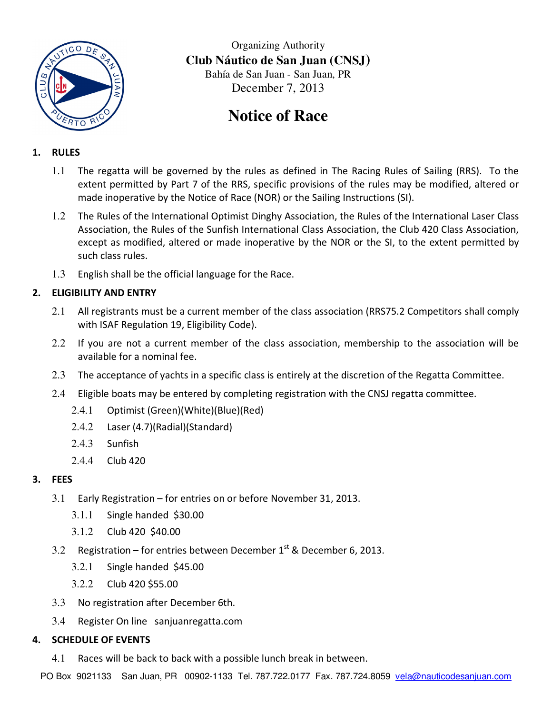

Organizing Authority **Club Náutico de San Juan (CNSJ)**  Bahía de San Juan - San Juan, PR December 7, 2013

# **Notice of Race**

## **1. RULES**

- 1.1 The regatta will be governed by the rules as defined in The Racing Rules of Sailing (RRS). To the extent permitted by Part 7 of the RRS, specific provisions of the rules may be modified, altered or made inoperative by the Notice of Race (NOR) or the Sailing Instructions (SI).
- 1.2 The Rules of the International Optimist Dinghy Association, the Rules of the International Laser Class Association, the Rules of the Sunfish International Class Association, the Club 420 Class Association, except as modified, altered or made inoperative by the NOR or the SI, to the extent permitted by such class rules.
- 1.3 English shall be the official language for the Race.

# **2. ELIGIBILITY AND ENTRY**

- 2.1 All registrants must be a current member of the class association (RRS75.2 Competitors shall comply with ISAF Regulation 19, Eligibility Code).
- 2.2 If you are not a current member of the class association, membership to the association will be available for a nominal fee.
- 2.3 The acceptance of yachts in a specific class is entirely at the discretion of the Regatta Committee.
- 2.4 Eligible boats may be entered by completing registration with the CNSJ regatta committee.
	- 2.4.1 Optimist (Green)(White)(Blue)(Red)
	- 2.4.2 Laser (4.7)(Radial)(Standard)
	- 2.4.3 Sunfish
	- 2.4.4 Club 420

## **3. FEES**

- 3.1 Early Registration for entries on or before November 31, 2013.
	- 3.1.1 Single handed \$30.00
	- 3.1.2 Club 420 \$40.00
- 3.2 Registration for entries between December  $1^{st}$  & December 6, 2013.
	- 3.2.1 Single handed \$45.00
	- 3.2.2 Club 420 \$55.00
- 3.3 No registration after December 6th.
- 3.4 Register On line sanjuanregatta.com

## **4. SCHEDULE OF EVENTS**

4.1 Races will be back to back with a possible lunch break in between.

PO Box 9021133 San Juan, PR 00902-1133 Tel. 787.722.0177 Fax. 787.724.8059 vela@nauticodesanjuan.com